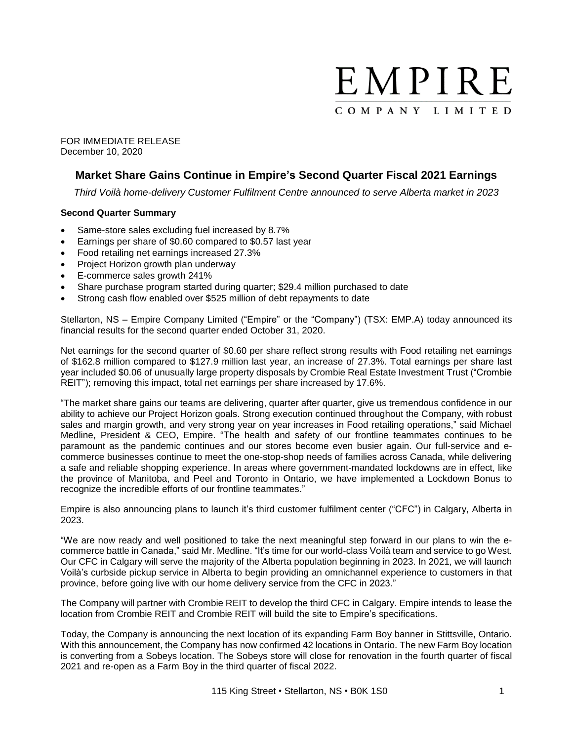

FOR IMMEDIATE RELEASE December 10, 2020

# **Market Share Gains Continue in Empire's Second Quarter Fiscal 2021 Earnings**

*Third Voilà home-delivery Customer Fulfilment Centre announced to serve Alberta market in 2023*

## **Second Quarter Summary**

- Same-store sales excluding fuel increased by 8.7%
- Earnings per share of \$0.60 compared to \$0.57 last year
- Food retailing net earnings increased 27.3%
- Project Horizon growth plan underway
- E-commerce sales growth 241%
- Share purchase program started during quarter; \$29.4 million purchased to date
- Strong cash flow enabled over \$525 million of debt repayments to date

Stellarton, NS – Empire Company Limited ("Empire" or the "Company") (TSX: EMP.A) today announced its financial results for the second quarter ended October 31, 2020.

Net earnings for the second quarter of \$0.60 per share reflect strong results with Food retailing net earnings of \$162.8 million compared to \$127.9 million last year, an increase of 27.3%. Total earnings per share last year included \$0.06 of unusually large property disposals by Crombie Real Estate Investment Trust ("Crombie REIT"); removing this impact, total net earnings per share increased by 17.6%.

"The market share gains our teams are delivering, quarter after quarter, give us tremendous confidence in our ability to achieve our Project Horizon goals. Strong execution continued throughout the Company, with robust sales and margin growth, and very strong year on year increases in Food retailing operations," said Michael Medline, President & CEO, Empire. "The health and safety of our frontline teammates continues to be paramount as the pandemic continues and our stores become even busier again. Our full-service and ecommerce businesses continue to meet the one-stop-shop needs of families across Canada, while delivering a safe and reliable shopping experience. In areas where government-mandated lockdowns are in effect, like the province of Manitoba, and Peel and Toronto in Ontario, we have implemented a Lockdown Bonus to recognize the incredible efforts of our frontline teammates."

Empire is also announcing plans to launch it's third customer fulfilment center ("CFC") in Calgary, Alberta in 2023.

"We are now ready and well positioned to take the next meaningful step forward in our plans to win the ecommerce battle in Canada," said Mr. Medline. "It's time for our world-class Voilà team and service to go West. Our CFC in Calgary will serve the majority of the Alberta population beginning in 2023. In 2021, we will launch Voilà's curbside pickup service in Alberta to begin providing an omnichannel experience to customers in that province, before going live with our home delivery service from the CFC in 2023."

The Company will partner with Crombie REIT to develop the third CFC in Calgary. Empire intends to lease the location from Crombie REIT and Crombie REIT will build the site to Empire's specifications.

Today, the Company is announcing the next location of its expanding Farm Boy banner in Stittsville, Ontario. With this announcement, the Company has now confirmed 42 locations in Ontario. The new Farm Boy location is converting from a Sobeys location. The Sobeys store will close for renovation in the fourth quarter of fiscal 2021 and re-open as a Farm Boy in the third quarter of fiscal 2022.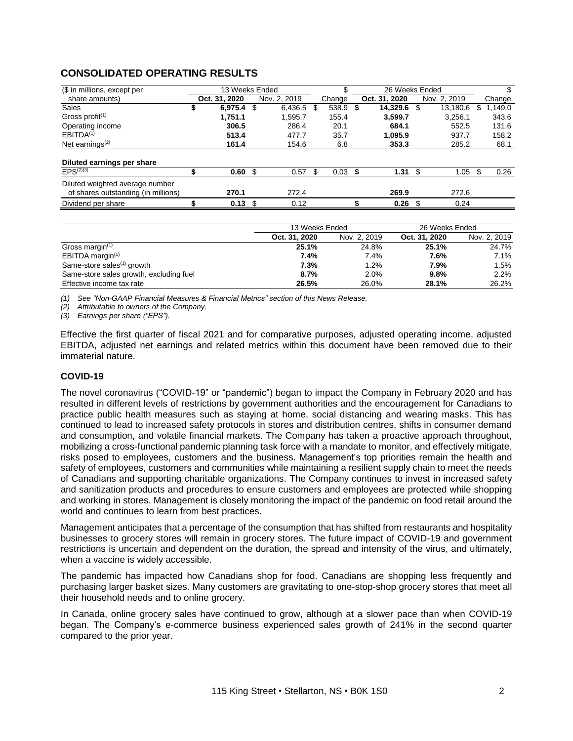# **CONSOLIDATED OPERATING RESULTS**

| (\$ in millions, except per         | 13 Weeks Ended |      |              |     |        |      | 26 Weeks Ended |    |              |     |         |
|-------------------------------------|----------------|------|--------------|-----|--------|------|----------------|----|--------------|-----|---------|
| share amounts)                      | Oct. 31, 2020  |      | Nov. 2. 2019 |     | Change |      | Oct. 31, 2020  |    | Nov. 2, 2019 |     | Change  |
| Sales                               | \$<br>6.975.4  | \$   | 6.436.5      | \$. | 538.9  | - \$ | 14,329.6       |    | 13.180.6     |     | 1.149.0 |
| Gross profit $(1)$                  | 1,751.1        |      | 1.595.7      |     | 155.4  |      | 3.599.7        |    | 3.256.1      |     | 343.6   |
| Operating income                    | 306.5          |      | 286.4        |     | 20.1   |      | 684.1          |    | 552.5        |     | 131.6   |
| EBITDA <sup>(1)</sup>               | 513.4          |      | 477.7        |     | 35.7   |      | 1,095.9        |    | 937.7        |     | 158.2   |
| Net earnings $(2)$                  | 161.4          |      | 154.6        |     | 6.8    |      | 353.3          |    | 285.2        |     | 68.1    |
|                                     |                |      |              |     |        |      |                |    |              |     |         |
| Diluted earnings per share          |                |      |              |     |        |      |                |    |              |     |         |
| $EPS^{(2)(3)}$                      | 0.60           | - \$ | 0.57         |     | 0.03   | - \$ | 1.31           | £. | 1.05         | \$. | 0.26    |
| Diluted weighted average number     |                |      |              |     |        |      |                |    |              |     |         |
| of shares outstanding (in millions) | 270.1          |      | 272.4        |     |        |      | 269.9          |    | 272.6        |     |         |
| Dividend per share                  | 0.13           | - \$ | 0.12         |     |        |      | 0.26           |    | 0.24         |     |         |

|                                         | 13 Weeks Ended |              | 26 Weeks Ended |              |
|-----------------------------------------|----------------|--------------|----------------|--------------|
|                                         | Oct. 31, 2020  | Nov. 2, 2019 | Oct. 31, 2020  | Nov. 2, 2019 |
| Gross margin <sup>(1)</sup>             | 25.1%          | 24.8%        | 25.1%          | 24.7%        |
| EBITDA margin $(1)$                     | 7.4%           | 7.4%         | 7.6%           | 7.1%         |
| Same-store sales $(1)$ growth           | 7.3%           | 1.2%         | 7.9%           | 1.5%         |
| Same-store sales growth, excluding fuel | 8.7%           | 2.0%         | 9.8%           | 2.2%         |
| Effective income tax rate               | 26.5%          | 26.0%        | 28.1%          | 26.2%        |

*(1) See "Non-GAAP Financial Measures & Financial Metrics" section of this News Release.*

*(2) Attributable to owners of the Company.*

*(3) Earnings per share ("EPS").*

Effective the first quarter of fiscal 2021 and for comparative purposes, adjusted operating income, adjusted EBITDA, adjusted net earnings and related metrics within this document have been removed due to their immaterial nature.

#### **COVID-19**

The novel coronavirus ("COVID-19" or "pandemic") began to impact the Company in February 2020 and has resulted in different levels of restrictions by government authorities and the encouragement for Canadians to practice public health measures such as staying at home, social distancing and wearing masks. This has continued to lead to increased safety protocols in stores and distribution centres, shifts in consumer demand and consumption, and volatile financial markets. The Company has taken a proactive approach throughout, mobilizing a cross-functional pandemic planning task force with a mandate to monitor, and effectively mitigate, risks posed to employees, customers and the business. Management's top priorities remain the health and safety of employees, customers and communities while maintaining a resilient supply chain to meet the needs of Canadians and supporting charitable organizations. The Company continues to invest in increased safety and sanitization products and procedures to ensure customers and employees are protected while shopping and working in stores. Management is closely monitoring the impact of the pandemic on food retail around the world and continues to learn from best practices.

Management anticipates that a percentage of the consumption that has shifted from restaurants and hospitality businesses to grocery stores will remain in grocery stores. The future impact of COVID-19 and government restrictions is uncertain and dependent on the duration, the spread and intensity of the virus, and ultimately, when a vaccine is widely accessible.

The pandemic has impacted how Canadians shop for food. Canadians are shopping less frequently and purchasing larger basket sizes. Many customers are gravitating to one-stop-shop grocery stores that meet all their household needs and to online grocery.

In Canada, online grocery sales have continued to grow, although at a slower pace than when COVID-19 began. The Company's e-commerce business experienced sales growth of 241% in the second quarter compared to the prior year.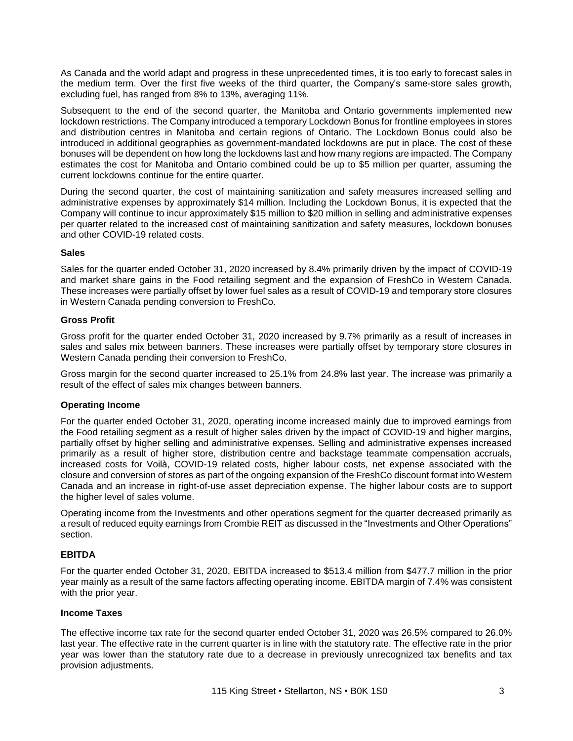As Canada and the world adapt and progress in these unprecedented times, it is too early to forecast sales in the medium term. Over the first five weeks of the third quarter, the Company's same-store sales growth, excluding fuel, has ranged from 8% to 13%, averaging 11%.

Subsequent to the end of the second quarter, the Manitoba and Ontario governments implemented new lockdown restrictions. The Company introduced a temporary Lockdown Bonus for frontline employees in stores and distribution centres in Manitoba and certain regions of Ontario. The Lockdown Bonus could also be introduced in additional geographies as government-mandated lockdowns are put in place. The cost of these bonuses will be dependent on how long the lockdowns last and how many regions are impacted. The Company estimates the cost for Manitoba and Ontario combined could be up to \$5 million per quarter, assuming the current lockdowns continue for the entire quarter.

During the second quarter, the cost of maintaining sanitization and safety measures increased selling and administrative expenses by approximately \$14 million. Including the Lockdown Bonus, it is expected that the Company will continue to incur approximately \$15 million to \$20 million in selling and administrative expenses per quarter related to the increased cost of maintaining sanitization and safety measures, lockdown bonuses and other COVID-19 related costs.

## **Sales**

Sales for the quarter ended October 31, 2020 increased by 8.4% primarily driven by the impact of COVID-19 and market share gains in the Food retailing segment and the expansion of FreshCo in Western Canada. These increases were partially offset by lower fuel sales as a result of COVID-19 and temporary store closures in Western Canada pending conversion to FreshCo.

## **Gross Profit**

Gross profit for the quarter ended October 31, 2020 increased by 9.7% primarily as a result of increases in sales and sales mix between banners. These increases were partially offset by temporary store closures in Western Canada pending their conversion to FreshCo.

Gross margin for the second quarter increased to 25.1% from 24.8% last year. The increase was primarily a result of the effect of sales mix changes between banners.

## **Operating Income**

For the quarter ended October 31, 2020, operating income increased mainly due to improved earnings from the Food retailing segment as a result of higher sales driven by the impact of COVID-19 and higher margins, partially offset by higher selling and administrative expenses. Selling and administrative expenses increased primarily as a result of higher store, distribution centre and backstage teammate compensation accruals, increased costs for Voilà, COVID-19 related costs, higher labour costs, net expense associated with the closure and conversion of stores as part of the ongoing expansion of the FreshCo discount format into Western Canada and an increase in right-of-use asset depreciation expense. The higher labour costs are to support the higher level of sales volume.

Operating income from the Investments and other operations segment for the quarter decreased primarily as a result of reduced equity earnings from Crombie REIT as discussed in the "Investments and Other Operations" section.

## **EBITDA**

For the quarter ended October 31, 2020, EBITDA increased to \$513.4 million from \$477.7 million in the prior year mainly as a result of the same factors affecting operating income. EBITDA margin of 7.4% was consistent with the prior year.

#### **Income Taxes**

The effective income tax rate for the second quarter ended October 31, 2020 was 26.5% compared to 26.0% last year. The effective rate in the current quarter is in line with the statutory rate. The effective rate in the prior year was lower than the statutory rate due to a decrease in previously unrecognized tax benefits and tax provision adjustments.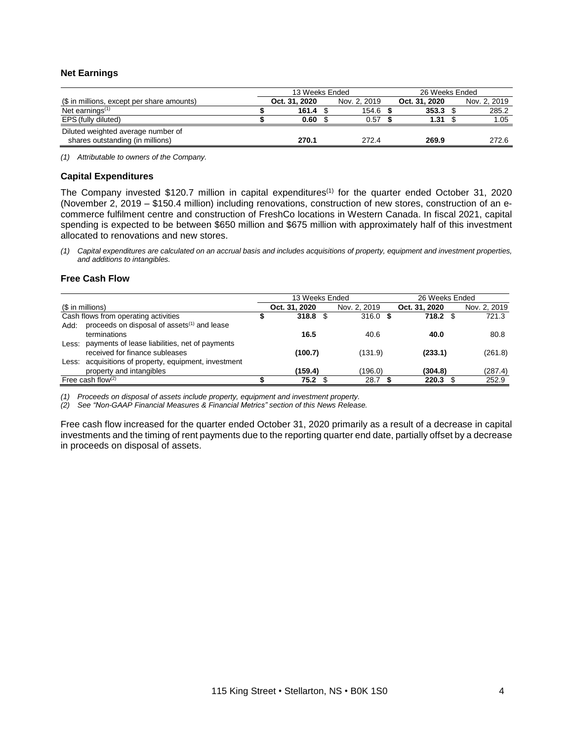## **Net Earnings**

|                                            | 13 Weeks Ended |               |  |              |  | 26 Weeks Ended |  |              |
|--------------------------------------------|----------------|---------------|--|--------------|--|----------------|--|--------------|
| (\$ in millions, except per share amounts) |                | Oct. 31, 2020 |  | Nov. 2, 2019 |  | Oct. 31, 2020  |  | Nov. 2, 2019 |
| Net earnings <sup>(1)</sup>                |                | 161.4         |  | $154.6$ \$   |  | 353.3          |  | 285.2        |
| EPS (fully diluted)                        |                | 0.60          |  | 0.57         |  | 1.31           |  | 1.05         |
| Diluted weighted average number of         |                |               |  |              |  |                |  |              |
| shares outstanding (in millions)           |                | 270.1         |  | 272.4        |  | 269.9          |  | 272.6        |

*(1) Attributable to owners of the Company.*

#### **Capital Expenditures**

The Company invested \$120.7 million in capital expenditures<sup>(1)</sup> for the quarter ended October 31, 2020 (November 2, 2019 – \$150.4 million) including renovations, construction of new stores, construction of an ecommerce fulfilment centre and construction of FreshCo locations in Western Canada. In fiscal 2021, capital spending is expected to be between \$650 million and \$675 million with approximately half of this investment allocated to renovations and new stores.

(1) Capital expenditures are calculated on an accrual basis and includes acquisitions of property, equipment and investment properties, *and additions to intangibles.*

#### **Free Cash Flow**

|                  |                                                         | 13 Weeks Ended |              | 26 Weeks Ended |               |
|------------------|---------------------------------------------------------|----------------|--------------|----------------|---------------|
| (\$ in millions) |                                                         | Oct. 31, 2020  | Nov. 2, 2019 | Oct. 31, 2020  | Nov. 2, 2019  |
|                  | Cash flows from operating activities                    | $318.8$ \$     | $316.0$ \$   | 718.2          | 721.3<br>- \$ |
| Add:             | proceeds on disposal of assets <sup>(1)</sup> and lease |                |              |                |               |
|                  | terminations                                            | 16.5           | 40.6         | 40.0           | 80.8          |
| Less:            | payments of lease liabilities, net of payments          |                |              |                |               |
|                  | received for finance subleases                          | (100.7)        | (131.9)      | (233.1)        | (261.8)       |
|                  | Less: acquisitions of property, equipment, investment   |                |              |                |               |
|                  | property and intangibles                                | (159.4)        | (196.0)      | (304.8)        | (287.4)       |
|                  | Free cash flow $(2)$                                    | 75.2           | 28.7         | 220.3          | 252.9         |

*(1) Proceeds on disposal of assets include property, equipment and investment property.*

*(2) See "Non-GAAP Financial Measures & Financial Metrics" section of this News Release.*

Free cash flow increased for the quarter ended October 31, 2020 primarily as a result of a decrease in capital investments and the timing of rent payments due to the reporting quarter end date, partially offset by a decrease in proceeds on disposal of assets.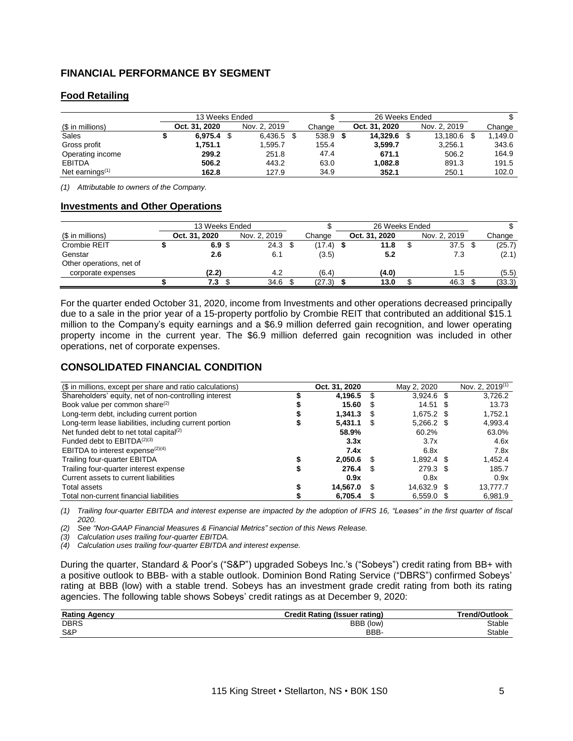# **FINANCIAL PERFORMANCE BY SEGMENT**

# **Food Retailing**

| 13 Weeks Ended     |  |               |  |              | 26 Weeks Ended |               |              |         |
|--------------------|--|---------------|--|--------------|----------------|---------------|--------------|---------|
| (\$ in millions)   |  | Oct. 31, 2020 |  | Nov. 2. 2019 | Change         | Oct. 31, 2020 | Nov. 2, 2019 | Change  |
| Sales              |  | 6.975.4       |  | 6.436.5      | 538.9          | 14.329.6 \$   | 13.180.6     | 1.149.0 |
| Gross profit       |  | 1.751.1       |  | 1,595.7      | 155.4          | 3.599.7       | 3.256.1      | 343.6   |
| Operating income   |  | 299.2         |  | 251.8        | 47.4           | 671.1         | 506.2        | 164.9   |
| <b>EBITDA</b>      |  | 506.2         |  | 443.2        | 63.0           | 1.082.8       | 891.3        | 191.5   |
| Net earnings $(1)$ |  | 162.8         |  | 127.9        | 34.9           | 352.1         | 250.1        | 102.0   |

*(1) Attributable to owners of the Company.*

#### **Investments and Other Operations**

|                          | 13 Weeks Ended |                  |                   |  | 26 Weeks Ended |  |               |  |               |  |        |
|--------------------------|----------------|------------------|-------------------|--|----------------|--|---------------|--|---------------|--|--------|
| (\$ in millions)         |                | Oct. 31, 2020    | Nov. 2, 2019      |  | Change         |  | Oct. 31, 2020 |  | Nov. 2, 2019  |  | Change |
| Crombie REIT             |                | 6.9 <sup>5</sup> | 24.3 <sup>5</sup> |  | (17.4)         |  | 11.8          |  | 37.5          |  | (25.7) |
| Genstar                  |                | 2.6              | 6.1               |  | (3.5)          |  | 5.2           |  | 7.3           |  | (2.1)  |
| Other operations, net of |                |                  |                   |  |                |  |               |  |               |  |        |
| corporate expenses       |                | (2.2)            | 4.2               |  | (6.4)          |  | (4.0)         |  | $1.5^{\circ}$ |  | (5.5)  |
|                          |                | 7.3              | 34.6              |  | (27.3)         |  | 13.0          |  | 46.3          |  | (33.3) |

For the quarter ended October 31, 2020, income from Investments and other operations decreased principally due to a sale in the prior year of a 15-property portfolio by Crombie REIT that contributed an additional \$15.1 million to the Company's equity earnings and a \$6.9 million deferred gain recognition, and lower operating property income in the current year. The \$6.9 million deferred gain recognition was included in other operations, net of corporate expenses.

## **CONSOLIDATED FINANCIAL CONDITION**

| (\$ in millions, except per share and ratio calculations) | Oct. 31, 2020 |   | May 2, 2020  |      | Nov. 2, 2019 <sup>(1)</sup> |
|-----------------------------------------------------------|---------------|---|--------------|------|-----------------------------|
| Shareholders' equity, net of non-controlling interest     | 4.196.5       |   | $3,924.6$ \$ |      | 3,726.2                     |
| Book value per common share <sup>(2)</sup>                | 15.60         |   | 14.51        | - \$ | 13.73                       |
| Long-term debt, including current portion                 | 1,341.3       | S | $1,675.2$ \$ |      | 1,752.1                     |
| Long-term lease liabilities, including current portion    | 5.431.1       | S | $5,266.2$ \$ |      | 4,993.4                     |
| Net funded debt to net total capital <sup>(2)</sup>       | 58.9%         |   | 60.2%        |      | 63.0%                       |
| Funded debt to $EBITDA(2)(3)$                             | 3.3x          |   | 3.7x         |      | 4.6x                        |
| EBITDA to interest expense <sup>(2)(4)</sup>              | 7.4x          |   | 6.8x         |      | 7.8x                        |
| Trailing four-quarter EBITDA                              | 2.050.6       |   | $1.892.4$ \$ |      | 1,452.4                     |
| Trailing four-quarter interest expense                    | 276.4         |   | 279.3 \$     |      | 185.7                       |
| Current assets to current liabilities                     | 0.9x          |   | 0.8x         |      | 0.9x                        |
| Total assets                                              | 14.567.0      |   | 14.632.9 \$  |      | 13,777.7                    |
| Total non-current financial liabilities                   | 6.705.4       |   | $6.559.0$ \$ |      | 6.981.9                     |

(1) Trailing four-quarter EBITDA and interest expense are impacted by the adoption of IFRS 16, "Leases" in the first quarter of fiscal *2020.*

*(2) See "Non-GAAP Financial Measures & Financial Metrics" section of this News Release.*

*(3) Calculation uses trailing four-quarter EBITDA.*

*(4) Calculation uses trailing four-quarter EBITDA and interest expense.*

During the quarter, Standard & Poor's ("S&P") upgraded Sobeys Inc.'s ("Sobeys") credit rating from BB+ with a positive outlook to BBB- with a stable outlook. Dominion Bond Rating Service ("DBRS") confirmed Sobeys' rating at BBB (low) with a stable trend. Sobeys has an investment grade credit rating from both its rating agencies. The following table shows Sobeys' credit ratings as at December 9, 2020:

| Rating<br>Agency | <b>Credit Rating (Issuer rating)</b> | Trend/Outlook |
|------------------|--------------------------------------|---------------|
| <b>DBRS</b>      | BBB (low)                            | Stable        |
| S&P              | BBB-                                 | Stable        |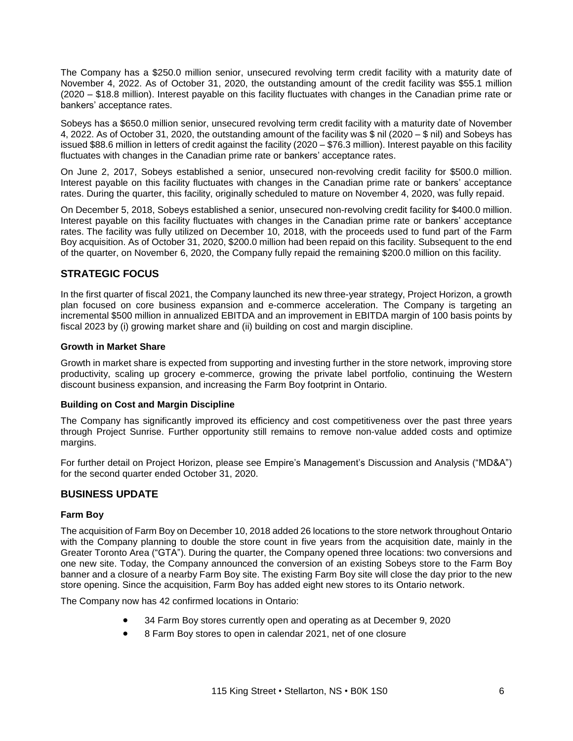The Company has a \$250.0 million senior, unsecured revolving term credit facility with a maturity date of November 4, 2022. As of October 31, 2020, the outstanding amount of the credit facility was \$55.1 million (2020 – \$18.8 million). Interest payable on this facility fluctuates with changes in the Canadian prime rate or bankers' acceptance rates.

Sobeys has a \$650.0 million senior, unsecured revolving term credit facility with a maturity date of November 4, 2022. As of October 31, 2020, the outstanding amount of the facility was \$ nil (2020 – \$ nil) and Sobeys has issued \$88.6 million in letters of credit against the facility (2020 – \$76.3 million). Interest payable on this facility fluctuates with changes in the Canadian prime rate or bankers' acceptance rates.

On June 2, 2017, Sobeys established a senior, unsecured non-revolving credit facility for \$500.0 million. Interest payable on this facility fluctuates with changes in the Canadian prime rate or bankers' acceptance rates. During the quarter, this facility, originally scheduled to mature on November 4, 2020, was fully repaid.

On December 5, 2018, Sobeys established a senior, unsecured non-revolving credit facility for \$400.0 million. Interest payable on this facility fluctuates with changes in the Canadian prime rate or bankers' acceptance rates. The facility was fully utilized on December 10, 2018, with the proceeds used to fund part of the Farm Boy acquisition. As of October 31, 2020, \$200.0 million had been repaid on this facility. Subsequent to the end of the quarter, on November 6, 2020, the Company fully repaid the remaining \$200.0 million on this facility.

# **STRATEGIC FOCUS**

In the first quarter of fiscal 2021, the Company launched its new three-year strategy, Project Horizon, a growth plan focused on core business expansion and e-commerce acceleration. The Company is targeting an incremental \$500 million in annualized EBITDA and an improvement in EBITDA margin of 100 basis points by fiscal 2023 by (i) growing market share and (ii) building on cost and margin discipline.

## **Growth in Market Share**

Growth in market share is expected from supporting and investing further in the store network, improving store productivity, scaling up grocery e-commerce, growing the private label portfolio, continuing the Western discount business expansion, and increasing the Farm Boy footprint in Ontario.

#### **Building on Cost and Margin Discipline**

The Company has significantly improved its efficiency and cost competitiveness over the past three years through Project Sunrise. Further opportunity still remains to remove non-value added costs and optimize margins.

For further detail on Project Horizon, please see Empire's Management's Discussion and Analysis ("MD&A") for the second quarter ended October 31, 2020.

## **BUSINESS UPDATE**

#### **Farm Boy**

The acquisition of Farm Boy on December 10, 2018 added 26 locations to the store network throughout Ontario with the Company planning to double the store count in five years from the acquisition date, mainly in the Greater Toronto Area ("GTA"). During the quarter, the Company opened three locations: two conversions and one new site. Today, the Company announced the conversion of an existing Sobeys store to the Farm Boy banner and a closure of a nearby Farm Boy site. The existing Farm Boy site will close the day prior to the new store opening. Since the acquisition, Farm Boy has added eight new stores to its Ontario network.

The Company now has 42 confirmed locations in Ontario:

- 34 Farm Boy stores currently open and operating as at December 9, 2020
- 8 Farm Boy stores to open in calendar 2021, net of one closure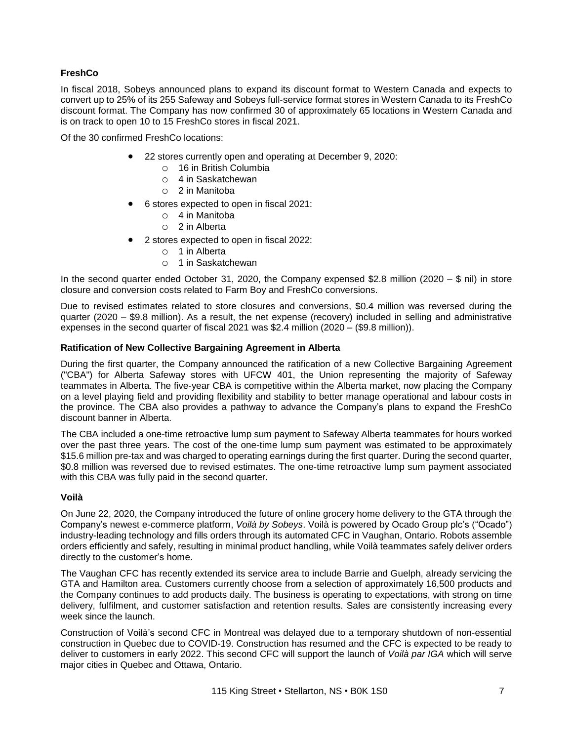# **FreshCo**

In fiscal 2018, Sobeys announced plans to expand its discount format to Western Canada and expects to convert up to 25% of its 255 Safeway and Sobeys full-service format stores in Western Canada to its FreshCo discount format. The Company has now confirmed 30 of approximately 65 locations in Western Canada and is on track to open 10 to 15 FreshCo stores in fiscal 2021.

Of the 30 confirmed FreshCo locations:

- 22 stores currently open and operating at December 9, 2020:
	- o 16 in British Columbia
	- o 4 in Saskatchewan
	- o 2 in Manitoba
- 6 stores expected to open in fiscal 2021:
	- o 4 in Manitoba
	- o 2 in Alberta
- 2 stores expected to open in fiscal 2022:
	- o 1 in Alberta
	- o 1 in Saskatchewan

In the second quarter ended October 31, 2020, the Company expensed \$2.8 million (2020 – \$ nil) in store closure and conversion costs related to Farm Boy and FreshCo conversions.

Due to revised estimates related to store closures and conversions, \$0.4 million was reversed during the quarter (2020 – \$9.8 million). As a result, the net expense (recovery) included in selling and administrative expenses in the second quarter of fiscal 2021 was \$2.4 million (2020 – (\$9.8 million)).

## **Ratification of New Collective Bargaining Agreement in Alberta**

During the first quarter, the Company announced the ratification of a new Collective Bargaining Agreement ("CBA") for Alberta Safeway stores with UFCW 401, the Union representing the majority of Safeway teammates in Alberta. The five-year CBA is competitive within the Alberta market, now placing the Company on a level playing field and providing flexibility and stability to better manage operational and labour costs in the province. The CBA also provides a pathway to advance the Company's plans to expand the FreshCo discount banner in Alberta.

The CBA included a one-time retroactive lump sum payment to Safeway Alberta teammates for hours worked over the past three years. The cost of the one-time lump sum payment was estimated to be approximately \$15.6 million pre-tax and was charged to operating earnings during the first quarter. During the second quarter, \$0.8 million was reversed due to revised estimates. The one-time retroactive lump sum payment associated with this CBA was fully paid in the second quarter.

#### **Voilà**

On June 22, 2020, the Company introduced the future of online grocery home delivery to the GTA through the Company's newest e-commerce platform, *Voilà by Sobeys*. Voilà is powered by Ocado Group plc's ("Ocado") industry-leading technology and fills orders through its automated CFC in Vaughan, Ontario. Robots assemble orders efficiently and safely, resulting in minimal product handling, while Voilà teammates safely deliver orders directly to the customer's home.

The Vaughan CFC has recently extended its service area to include Barrie and Guelph, already servicing the GTA and Hamilton area. Customers currently choose from a selection of approximately 16,500 products and the Company continues to add products daily. The business is operating to expectations, with strong on time delivery, fulfilment, and customer satisfaction and retention results. Sales are consistently increasing every week since the launch.

Construction of Voilà's second CFC in Montreal was delayed due to a temporary shutdown of non-essential construction in Quebec due to COVID-19. Construction has resumed and the CFC is expected to be ready to deliver to customers in early 2022. This second CFC will support the launch of *Voilà par IGA* which will serve major cities in Quebec and Ottawa, Ontario.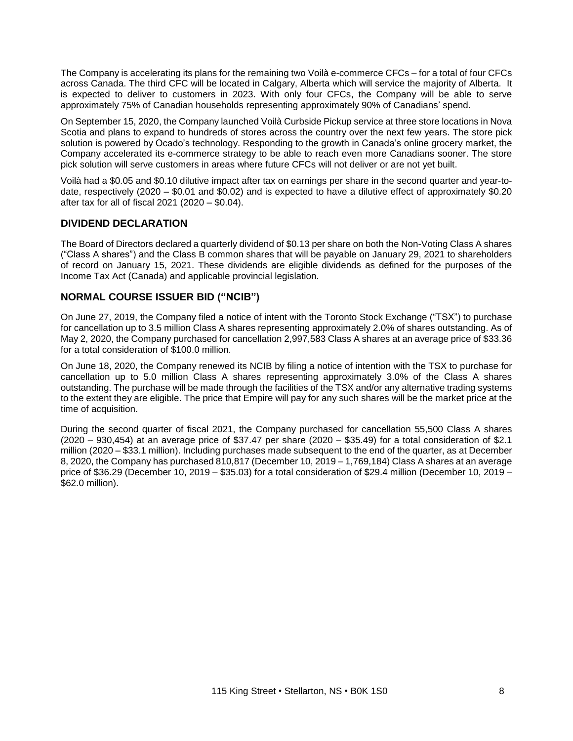The Company is accelerating its plans for the remaining two Voilà e-commerce CFCs – for a total of four CFCs across Canada. The third CFC will be located in Calgary, Alberta which will service the majority of Alberta. It is expected to deliver to customers in 2023. With only four CFCs, the Company will be able to serve approximately 75% of Canadian households representing approximately 90% of Canadians' spend.

On September 15, 2020, the Company launched Voilà Curbside Pickup service at three store locations in Nova Scotia and plans to expand to hundreds of stores across the country over the next few years. The store pick solution is powered by Ocado's technology. Responding to the growth in Canada's online grocery market, the Company accelerated its e-commerce strategy to be able to reach even more Canadians sooner. The store pick solution will serve customers in areas where future CFCs will not deliver or are not yet built.

Voilà had a \$0.05 and \$0.10 dilutive impact after tax on earnings per share in the second quarter and year-todate, respectively (2020 – \$0.01 and \$0.02) and is expected to have a dilutive effect of approximately \$0.20 after tax for all of fiscal 2021 (2020 – \$0.04).

## **DIVIDEND DECLARATION**

The Board of Directors declared a quarterly dividend of \$0.13 per share on both the Non-Voting Class A shares ("Class A shares") and the Class B common shares that will be payable on January 29, 2021 to shareholders of record on January 15, 2021. These dividends are eligible dividends as defined for the purposes of the Income Tax Act (Canada) and applicable provincial legislation.

## **NORMAL COURSE ISSUER BID ("NCIB")**

On June 27, 2019, the Company filed a notice of intent with the Toronto Stock Exchange ("TSX") to purchase for cancellation up to 3.5 million Class A shares representing approximately 2.0% of shares outstanding. As of May 2, 2020, the Company purchased for cancellation 2,997,583 Class A shares at an average price of \$33.36 for a total consideration of \$100.0 million.

On June 18, 2020, the Company renewed its NCIB by filing a notice of intention with the TSX to purchase for cancellation up to 5.0 million Class A shares representing approximately 3.0% of the Class A shares outstanding. The purchase will be made through the facilities of the TSX and/or any alternative trading systems to the extent they are eligible. The price that Empire will pay for any such shares will be the market price at the time of acquisition.

During the second quarter of fiscal 2021, the Company purchased for cancellation 55,500 Class A shares (2020 – 930,454) at an average price of \$37.47 per share (2020 – \$35.49) for a total consideration of \$2.1 million (2020 – \$33.1 million). Including purchases made subsequent to the end of the quarter, as at December 8, 2020, the Company has purchased 810,817 (December 10, 2019 – 1,769,184) Class A shares at an average price of \$36.29 (December 10, 2019 – \$35.03) for a total consideration of \$29.4 million (December 10, 2019 – \$62.0 million).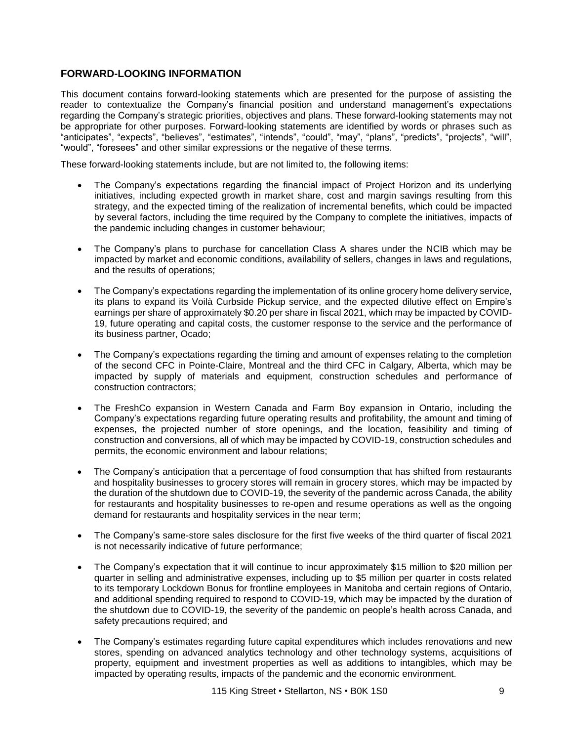# **FORWARD-LOOKING INFORMATION**

This document contains forward-looking statements which are presented for the purpose of assisting the reader to contextualize the Company's financial position and understand management's expectations regarding the Company's strategic priorities, objectives and plans. These forward-looking statements may not be appropriate for other purposes. Forward-looking statements are identified by words or phrases such as "anticipates", "expects", "believes", "estimates", "intends", "could", "may", "plans", "predicts", "projects", "will", "would", "foresees" and other similar expressions or the negative of these terms.

These forward-looking statements include, but are not limited to, the following items:

- The Company's expectations regarding the financial impact of Project Horizon and its underlying initiatives, including expected growth in market share, cost and margin savings resulting from this strategy, and the expected timing of the realization of incremental benefits, which could be impacted by several factors, including the time required by the Company to complete the initiatives, impacts of the pandemic including changes in customer behaviour;
- The Company's plans to purchase for cancellation Class A shares under the NCIB which may be impacted by market and economic conditions, availability of sellers, changes in laws and regulations, and the results of operations;
- The Company's expectations regarding the implementation of its online grocery home delivery service, its plans to expand its Voilà Curbside Pickup service, and the expected dilutive effect on Empire's earnings per share of approximately \$0.20 per share in fiscal 2021, which may be impacted by COVID-19, future operating and capital costs, the customer response to the service and the performance of its business partner, Ocado;
- The Company's expectations regarding the timing and amount of expenses relating to the completion of the second CFC in Pointe-Claire, Montreal and the third CFC in Calgary, Alberta, which may be impacted by supply of materials and equipment, construction schedules and performance of construction contractors;
- The FreshCo expansion in Western Canada and Farm Boy expansion in Ontario, including the Company's expectations regarding future operating results and profitability, the amount and timing of expenses, the projected number of store openings, and the location, feasibility and timing of construction and conversions, all of which may be impacted by COVID-19, construction schedules and permits, the economic environment and labour relations;
- The Company's anticipation that a percentage of food consumption that has shifted from restaurants and hospitality businesses to grocery stores will remain in grocery stores, which may be impacted by the duration of the shutdown due to COVID-19, the severity of the pandemic across Canada, the ability for restaurants and hospitality businesses to re-open and resume operations as well as the ongoing demand for restaurants and hospitality services in the near term;
- The Company's same-store sales disclosure for the first five weeks of the third quarter of fiscal 2021 is not necessarily indicative of future performance;
- The Company's expectation that it will continue to incur approximately \$15 million to \$20 million per quarter in selling and administrative expenses, including up to \$5 million per quarter in costs related to its temporary Lockdown Bonus for frontline employees in Manitoba and certain regions of Ontario, and additional spending required to respond to COVID-19, which may be impacted by the duration of the shutdown due to COVID-19, the severity of the pandemic on people's health across Canada, and safety precautions required; and
- The Company's estimates regarding future capital expenditures which includes renovations and new stores, spending on advanced analytics technology and other technology systems, acquisitions of property, equipment and investment properties as well as additions to intangibles, which may be impacted by operating results, impacts of the pandemic and the economic environment.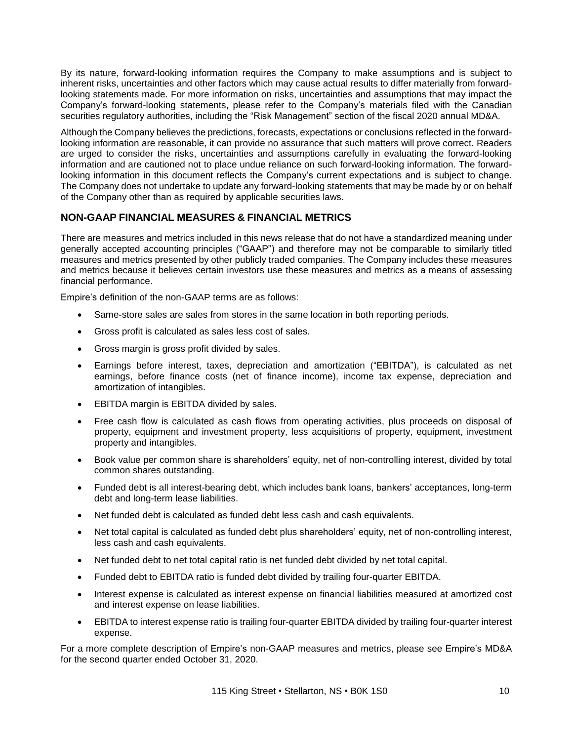By its nature, forward-looking information requires the Company to make assumptions and is subject to inherent risks, uncertainties and other factors which may cause actual results to differ materially from forwardlooking statements made. For more information on risks, uncertainties and assumptions that may impact the Company's forward-looking statements, please refer to the Company's materials filed with the Canadian securities regulatory authorities, including the "Risk Management" section of the fiscal 2020 annual MD&A.

Although the Company believes the predictions, forecasts, expectations or conclusions reflected in the forwardlooking information are reasonable, it can provide no assurance that such matters will prove correct. Readers are urged to consider the risks, uncertainties and assumptions carefully in evaluating the forward-looking information and are cautioned not to place undue reliance on such forward-looking information. The forwardlooking information in this document reflects the Company's current expectations and is subject to change. The Company does not undertake to update any forward-looking statements that may be made by or on behalf of the Company other than as required by applicable securities laws.

# **NON-GAAP FINANCIAL MEASURES & FINANCIAL METRICS**

There are measures and metrics included in this news release that do not have a standardized meaning under generally accepted accounting principles ("GAAP") and therefore may not be comparable to similarly titled measures and metrics presented by other publicly traded companies. The Company includes these measures and metrics because it believes certain investors use these measures and metrics as a means of assessing financial performance.

Empire's definition of the non-GAAP terms are as follows:

- Same-store sales are sales from stores in the same location in both reporting periods.
- Gross profit is calculated as sales less cost of sales.
- Gross margin is gross profit divided by sales.
- Earnings before interest, taxes, depreciation and amortization ("EBITDA"), is calculated as net earnings, before finance costs (net of finance income), income tax expense, depreciation and amortization of intangibles.
- EBITDA margin is EBITDA divided by sales.
- Free cash flow is calculated as cash flows from operating activities, plus proceeds on disposal of property, equipment and investment property, less acquisitions of property, equipment, investment property and intangibles.
- Book value per common share is shareholders' equity, net of non-controlling interest, divided by total common shares outstanding.
- Funded debt is all interest-bearing debt, which includes bank loans, bankers' acceptances, long-term debt and long-term lease liabilities.
- Net funded debt is calculated as funded debt less cash and cash equivalents.
- Net total capital is calculated as funded debt plus shareholders' equity, net of non-controlling interest, less cash and cash equivalents.
- Net funded debt to net total capital ratio is net funded debt divided by net total capital.
- Funded debt to EBITDA ratio is funded debt divided by trailing four-quarter EBITDA.
- Interest expense is calculated as interest expense on financial liabilities measured at amortized cost and interest expense on lease liabilities.
- EBITDA to interest expense ratio is trailing four-quarter EBITDA divided by trailing four-quarter interest expense.

For a more complete description of Empire's non-GAAP measures and metrics, please see Empire's MD&A for the second quarter ended October 31, 2020.